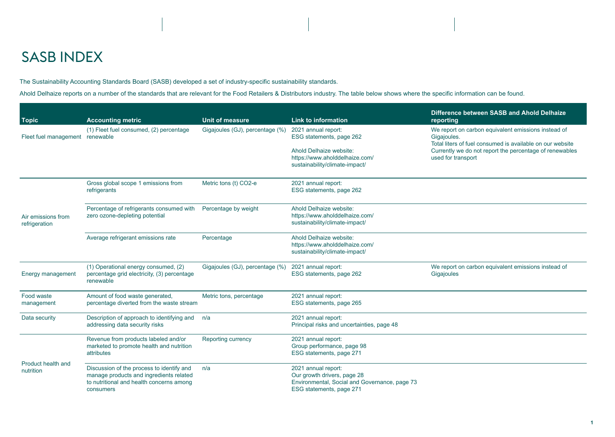## SASB INDEX

The Sustainability Accounting Standards Board (SASB) developed a set of industry-specific sustainability standards.

Ahold Delhaize reports on a number of the standards that are relevant for the Food Retailers & Distributors industry. The table below shows where the specific information can be found.

| <b>Topic</b>                        | <b>Accounting metric</b>                                                                                                                      | <b>Unit of measure</b>          | <b>Link to information</b>                                                                                                                     | Difference between SASB and Ahold Delhaize<br>reporting                                                                                                                                                          |
|-------------------------------------|-----------------------------------------------------------------------------------------------------------------------------------------------|---------------------------------|------------------------------------------------------------------------------------------------------------------------------------------------|------------------------------------------------------------------------------------------------------------------------------------------------------------------------------------------------------------------|
| Fleet fuel management renewable     | (1) Fleet fuel consumed, (2) percentage                                                                                                       | Gigajoules (GJ), percentage (%) | 2021 annual report:<br>ESG statements, page 262<br>Ahold Delhaize website:<br>https://www.aholddelhaize.com/<br>sustainability/climate-impact/ | We report on carbon equivalent emissions instead of<br>Gigajoules.<br>Total liters of fuel consumed is available on our website<br>Currently we do not report the percentage of renewables<br>used for transport |
| Air emissions from<br>refrigeration | Gross global scope 1 emissions from<br>refrigerants                                                                                           | Metric tons (t) CO2-e           | 2021 annual report:<br>ESG statements, page 262                                                                                                |                                                                                                                                                                                                                  |
|                                     | Percentage of refrigerants consumed with<br>zero ozone-depleting potential                                                                    | Percentage by weight            | Ahold Delhaize website:<br>https://www.aholddelhaize.com/<br>sustainability/climate-impact/                                                    |                                                                                                                                                                                                                  |
|                                     | Average refrigerant emissions rate                                                                                                            | Percentage                      | Ahold Delhaize website:<br>https://www.aholddelhaize.com/<br>sustainability/climate-impact/                                                    |                                                                                                                                                                                                                  |
| Energy management                   | (1) Operational energy consumed, (2)<br>percentage grid electricity, (3) percentage<br>renewable                                              | Gigajoules (GJ), percentage (%) | 2021 annual report:<br>ESG statements, page 262                                                                                                | We report on carbon equivalent emissions instead of<br>Gigajoules                                                                                                                                                |
| Food waste<br>management            | Amount of food waste generated,<br>percentage diverted from the waste stream                                                                  | Metric tons, percentage         | 2021 annual report:<br>ESG statements, page 265                                                                                                |                                                                                                                                                                                                                  |
| Data security                       | Description of approach to identifying and<br>addressing data security risks                                                                  | n/a                             | 2021 annual report:<br>Principal risks and uncertainties, page 48                                                                              |                                                                                                                                                                                                                  |
| Product health and<br>nutrition     | Revenue from products labeled and/or<br>marketed to promote health and nutrition<br>attributes                                                | Reporting currency              | 2021 annual report:<br>Group performance, page 98<br>ESG statements, page 271                                                                  |                                                                                                                                                                                                                  |
|                                     | Discussion of the process to identify and<br>manage products and ingredients related<br>to nutritional and health concerns among<br>consumers | n/a                             | 2021 annual report:<br>Our growth drivers, page 28<br>Environmental, Social and Governance, page 73<br>ESG statements, page 271                |                                                                                                                                                                                                                  |